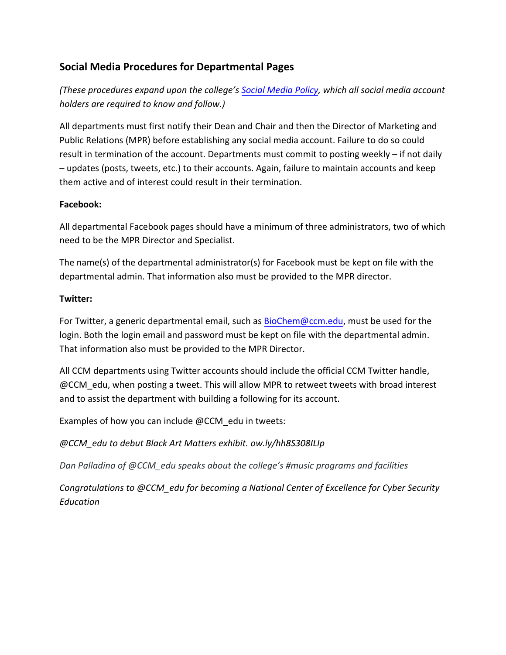## **Social Media Procedures for Departmental Pages**

*(These procedures expand upon the college's Social Media Policy, which all social media account holders are required to know and follow.)*

All departments must first notify their Dean and Chair and then the Director of Marketing and Public Relations (MPR) before establishing any social media account. Failure to do so could result in termination of the account. Departments must commit to posting weekly – if not daily – updates (posts, tweets, etc.) to their accounts. Again, failure to maintain accounts and keep them active and of interest could result in their termination.

## **Facebook:**

All departmental Facebook pages should have a minimum of three administrators, two of which need to be the MPR Director and Specialist.

The name(s) of the departmental administrator(s) for Facebook must be kept on file with the departmental admin. That information also must be provided to the MPR director.

## **Twitter:**

For Twitter, a generic departmental email, such as BioChem@ccm.edu, must be used for the login. Both the login email and password must be kept on file with the departmental admin. That information also must be provided to the MPR Director.

All CCM departments using Twitter accounts should include the official CCM Twitter handle, @CCM\_edu, when posting a tweet. This will allow MPR to retweet tweets with broad interest and to assist the department with building a following for its account.

Examples of how you can include @CCM edu in tweets:

*@CCM\_edu to debut Black Art Matters exhibit. ow.ly/hh8S308ILIp*

*Dan Palladino of @CCM\_edu speaks about the college's #music programs and facilities*

*Congratulations to @CCM\_edu for becoming a National Center of Excellence for Cyber Security Education*